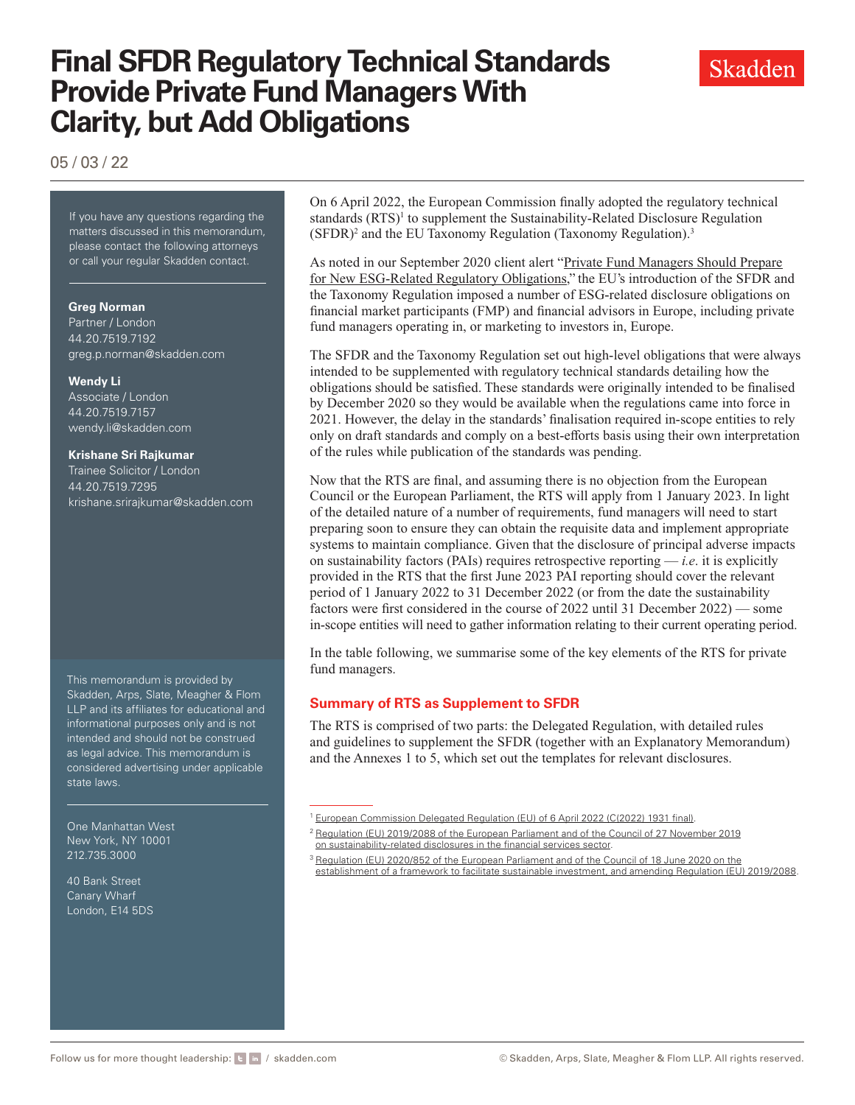05 / 03 / 22

If you have any questions regarding the matters discussed in this memorandum, please contact the following attorneys or call your regular Skadden contact.

#### **Greg Norman**

Partner / London 44.20.7519.7192 [greg.p.norman@skadden.com](mailto:greg.p.norman@skadden.com )

#### **Wendy Li**

Associate / London 44.20.7519.7157 [wendy.li@skadden.com](mailto:wendy.li@skadden.com )

#### **Krishane Sri Rajkumar**

Trainee Solicitor / London 44.20.7519.7295 [krishane.srirajkumar@skadden.com](mailto:krishane.srirajkumar@skadden.com )

This memorandum is provided by Skadden, Arps, Slate, Meagher & Flom LLP and its affiliates for educational and informational purposes only and is not intended and should not be construed as legal advice. This memorandum is considered advertising under applicable state laws.

One Manhattan West New York, NY 10001 212.735.3000

40 Bank Street Canary Wharf London, E14 5DS On 6 April 2022, the European Commission finally adopted the regulatory technical standards (RTS)<sup>1</sup> to supplement the Sustainability-Related Disclosure Regulation (SFDR)<sup>2</sup> and the EU Taxonomy Regulation (Taxonomy Regulation).<sup>3</sup>

As noted in our September 2020 client alert "[Private Fund Managers Should Prepare](https://www.skadden.com/insights/publications/2020/09/private-fund-managers-should-prepare) [for New ESG-Related Regulatory Obligations,](https://www.skadden.com/insights/publications/2020/09/private-fund-managers-should-prepare)" the EU's introduction of the SFDR and the Taxonomy Regulation imposed a number of ESG-related disclosure obligations on financial market participants (FMP) and financial advisors in Europe, including private fund managers operating in, or marketing to investors in, Europe.

The SFDR and the Taxonomy Regulation set out high-level obligations that were always intended to be supplemented with regulatory technical standards detailing how the obligations should be satisfied. These standards were originally intended to be finalised by December 2020 so they would be available when the regulations came into force in 2021. However, the delay in the standards' finalisation required in-scope entities to rely only on draft standards and comply on a best-efforts basis using their own interpretation of the rules while publication of the standards was pending.

Now that the RTS are final, and assuming there is no objection from the European Council or the European Parliament, the RTS will apply from 1 January 2023. In light of the detailed nature of a number of requirements, fund managers will need to start preparing soon to ensure they can obtain the requisite data and implement appropriate systems to maintain compliance. Given that the disclosure of principal adverse impacts on sustainability factors (PAIs) requires retrospective reporting — *i.e*. it is explicitly provided in the RTS that the first June 2023 PAI reporting should cover the relevant period of 1 January 2022 to 31 December 2022 (or from the date the sustainability factors were first considered in the course of 2022 until 31 December 2022) — some in-scope entities will need to gather information relating to their current operating period.

In the table following, we summarise some of the key elements of the RTS for private fund managers.

#### **Summary of RTS as Supplement to SFDR**

The RTS is comprised of two parts: the Delegated Regulation, with detailed rules and guidelines to supplement the SFDR (together with an Explanatory Memorandum) and the Annexes 1 to 5, which set out the templates for relevant disclosures.

- <sup>2</sup> [Regulation \(EU\) 2019/2088 of the European Parliament and of the Council of 27 November 2019](https://eur-lex.europa.eu/legal-content/EN/TXT/?uri=celex%3A32019R2088) [on sustainability-related disclosures in the financial services sector.](https://eur-lex.europa.eu/legal-content/EN/TXT/?uri=celex%3A32019R2088)
- <sup>3</sup> [Regulation \(EU\) 2020/852 of the European Parliament and of the Council of 18 June 2020 on the](https://eur-lex.europa.eu/legal-content/EN/TXT/?uri=celex:32020R0852) [establishment of a framework to facilitate sustainable investment, and amending Regulation \(EU\) 2019/2088.](https://eur-lex.europa.eu/legal-content/EN/TXT/?uri=celex:32020R0852)



<sup>1</sup> [European Commission Delegated Regulation \(EU\) of 6 April 2022 \(C\(2022\) 1931 final\).](https://www.skadden.com/-/media/files/publications/2022/05/final-sfdr-regulatory-technical-standards/c_2022_1931_1_en_act.pdf)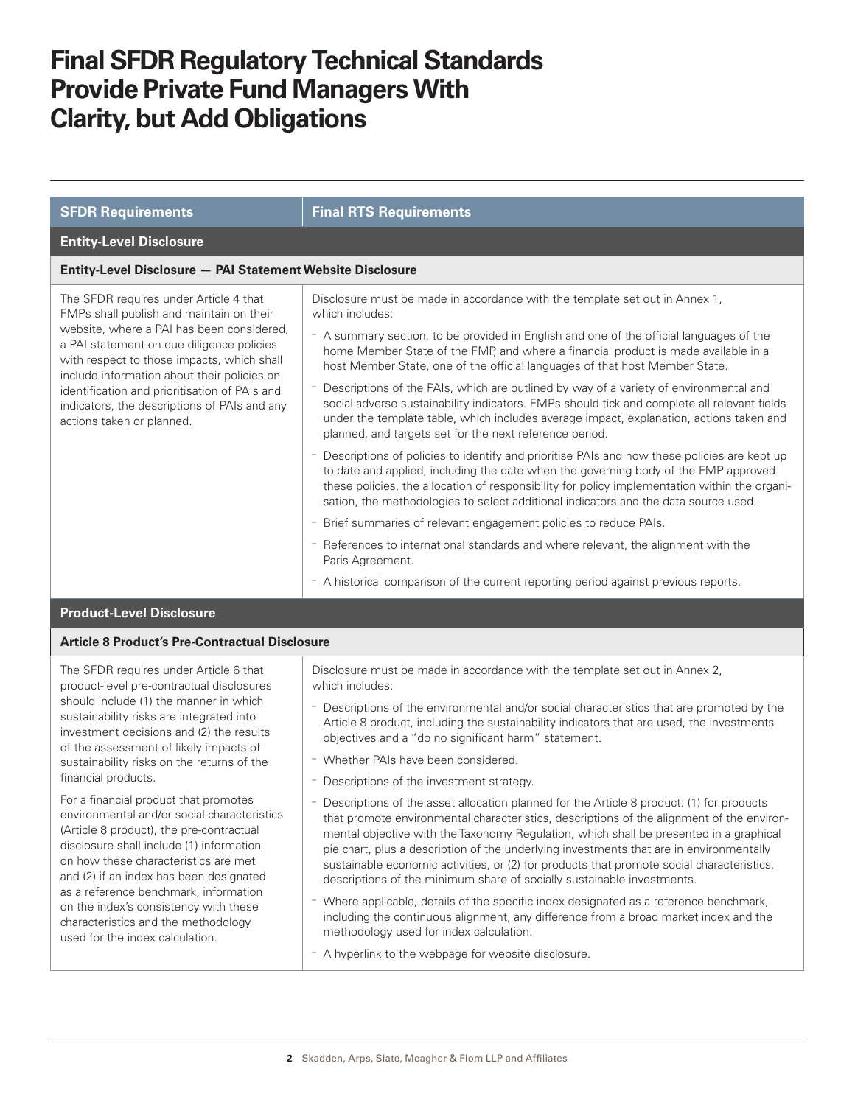| <b>SFDR Requirements</b>                                                                                                                                                                                                                                                                                                                                                                                | <b>Final RTS Requirements</b>                                                                                                                                                                                                                                                                                                                                                                                                                                                                                                                                                                                                                                                                                                                                                                                                                                                                                                                                                                                                                                                                                                                                                                                                                                               |  |
|---------------------------------------------------------------------------------------------------------------------------------------------------------------------------------------------------------------------------------------------------------------------------------------------------------------------------------------------------------------------------------------------------------|-----------------------------------------------------------------------------------------------------------------------------------------------------------------------------------------------------------------------------------------------------------------------------------------------------------------------------------------------------------------------------------------------------------------------------------------------------------------------------------------------------------------------------------------------------------------------------------------------------------------------------------------------------------------------------------------------------------------------------------------------------------------------------------------------------------------------------------------------------------------------------------------------------------------------------------------------------------------------------------------------------------------------------------------------------------------------------------------------------------------------------------------------------------------------------------------------------------------------------------------------------------------------------|--|
| <b>Entity-Level Disclosure</b>                                                                                                                                                                                                                                                                                                                                                                          |                                                                                                                                                                                                                                                                                                                                                                                                                                                                                                                                                                                                                                                                                                                                                                                                                                                                                                                                                                                                                                                                                                                                                                                                                                                                             |  |
| Entity-Level Disclosure - PAI Statement Website Disclosure                                                                                                                                                                                                                                                                                                                                              |                                                                                                                                                                                                                                                                                                                                                                                                                                                                                                                                                                                                                                                                                                                                                                                                                                                                                                                                                                                                                                                                                                                                                                                                                                                                             |  |
| The SFDR requires under Article 4 that<br>FMPs shall publish and maintain on their<br>website, where a PAI has been considered,<br>a PAI statement on due diligence policies<br>with respect to those impacts, which shall<br>include information about their policies on<br>identification and prioritisation of PAIs and<br>indicators, the descriptions of PAIs and any<br>actions taken or planned. | Disclosure must be made in accordance with the template set out in Annex 1,<br>which includes:<br>- A summary section, to be provided in English and one of the official languages of the<br>home Member State of the FMP, and where a financial product is made available in a<br>host Member State, one of the official languages of that host Member State.<br>Descriptions of the PAIs, which are outlined by way of a variety of environmental and<br>social adverse sustainability indicators. FMPs should tick and complete all relevant fields<br>under the template table, which includes average impact, explanation, actions taken and<br>planned, and targets set for the next reference period.<br>- Descriptions of policies to identify and prioritise PAIs and how these policies are kept up<br>to date and applied, including the date when the governing body of the FMP approved<br>these policies, the allocation of responsibility for policy implementation within the organi-<br>sation, the methodologies to select additional indicators and the data source used.<br>- Brief summaries of relevant engagement policies to reduce PAIs.<br>- References to international standards and where relevant, the alignment with the<br>Paris Agreement. |  |
|                                                                                                                                                                                                                                                                                                                                                                                                         | - A historical comparison of the current reporting period against previous reports.                                                                                                                                                                                                                                                                                                                                                                                                                                                                                                                                                                                                                                                                                                                                                                                                                                                                                                                                                                                                                                                                                                                                                                                         |  |
| <b>Product-Level Disclosure</b>                                                                                                                                                                                                                                                                                                                                                                         |                                                                                                                                                                                                                                                                                                                                                                                                                                                                                                                                                                                                                                                                                                                                                                                                                                                                                                                                                                                                                                                                                                                                                                                                                                                                             |  |
| <b>Article 8 Product's Pre-Contractual Disclosure</b>                                                                                                                                                                                                                                                                                                                                                   |                                                                                                                                                                                                                                                                                                                                                                                                                                                                                                                                                                                                                                                                                                                                                                                                                                                                                                                                                                                                                                                                                                                                                                                                                                                                             |  |
| The SFDR requires under Article 6 that<br>product-level pre-contractual disclosures<br>should include (1) the manner in which<br>sustainability risks are integrated into<br>investment decisions and (2) the results                                                                                                                                                                                   | Disclosure must be made in accordance with the template set out in Annex 2,<br>which includes:<br>- Descriptions of the environmental and/or social characteristics that are promoted by the<br>Article 8 product, including the sustainability indicators that are used, the investments<br>$\mathbf{r}$ , and the contract of the contract of the contract of the contract of the contract of the contract of the contract of the contract of the contract of the contract of the contract of the contract of the contract o                                                                                                                                                                                                                                                                                                                                                                                                                                                                                                                                                                                                                                                                                                                                              |  |

- objectives and a "do no significant harm" statement.
	- Whether PAIs have been considered.

of the assessment of likely impacts of sustainability risks on the returns of the

For a financial product that promotes environmental and/or social characteristics (Article 8 product), the pre-contractual disclosure shall include (1) information on how these characteristics are met and (2) if an index has been designated as a reference benchmark, information on the index's consistency with these characteristics and the methodology used for the index calculation.

financial products.

- Descriptions of the investment strategy.
- Descriptions of the asset allocation planned for the Article 8 product: (1) for products that promote environmental characteristics, descriptions of the alignment of the environmental objective with the Taxonomy Regulation, which shall be presented in a graphical pie chart, plus a description of the underlying investments that are in environmentally sustainable economic activities, or (2) for products that promote social characteristics, descriptions of the minimum share of socially sustainable investments.
- Where applicable, details of the specific index designated as a reference benchmark, including the continuous alignment, any difference from a broad market index and the methodology used for index calculation.
- A hyperlink to the webpage for website disclosure.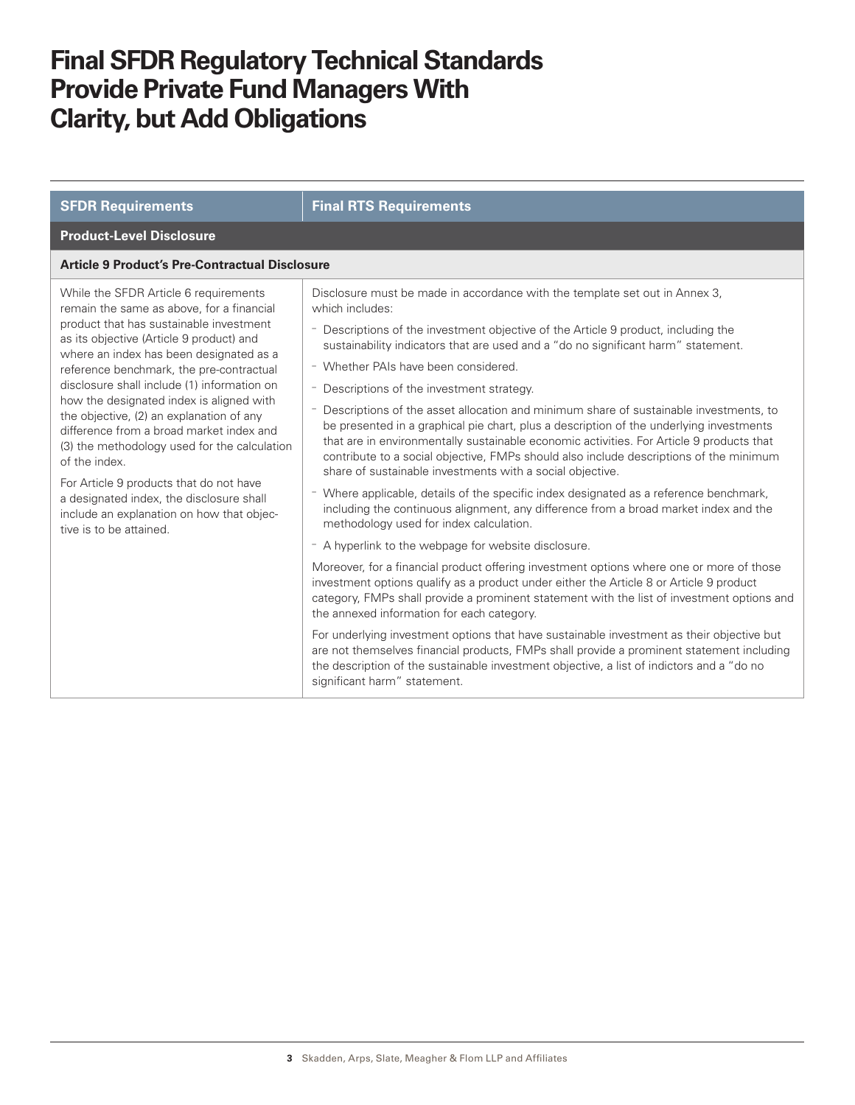| <b>SFDR Requirements</b>                                                                                                                                                                                                                                                                                                                                                                                                                                                                                                                                                                                                                                                            | <b>Final RTS Requirements</b>                                                                                                                                                                                                                                                                                                                                                                                                                                                                                                                                                                                                                                                                                                                                                                                                                                                                                                                                                                                                                                                                                                                                                                                                                                                                                                                                                                                                                                                                                                                                                                                                                                                                                                                         |  |
|-------------------------------------------------------------------------------------------------------------------------------------------------------------------------------------------------------------------------------------------------------------------------------------------------------------------------------------------------------------------------------------------------------------------------------------------------------------------------------------------------------------------------------------------------------------------------------------------------------------------------------------------------------------------------------------|-------------------------------------------------------------------------------------------------------------------------------------------------------------------------------------------------------------------------------------------------------------------------------------------------------------------------------------------------------------------------------------------------------------------------------------------------------------------------------------------------------------------------------------------------------------------------------------------------------------------------------------------------------------------------------------------------------------------------------------------------------------------------------------------------------------------------------------------------------------------------------------------------------------------------------------------------------------------------------------------------------------------------------------------------------------------------------------------------------------------------------------------------------------------------------------------------------------------------------------------------------------------------------------------------------------------------------------------------------------------------------------------------------------------------------------------------------------------------------------------------------------------------------------------------------------------------------------------------------------------------------------------------------------------------------------------------------------------------------------------------------|--|
| <b>Product-Level Disclosure</b>                                                                                                                                                                                                                                                                                                                                                                                                                                                                                                                                                                                                                                                     |                                                                                                                                                                                                                                                                                                                                                                                                                                                                                                                                                                                                                                                                                                                                                                                                                                                                                                                                                                                                                                                                                                                                                                                                                                                                                                                                                                                                                                                                                                                                                                                                                                                                                                                                                       |  |
| <b>Article 9 Product's Pre-Contractual Disclosure</b>                                                                                                                                                                                                                                                                                                                                                                                                                                                                                                                                                                                                                               |                                                                                                                                                                                                                                                                                                                                                                                                                                                                                                                                                                                                                                                                                                                                                                                                                                                                                                                                                                                                                                                                                                                                                                                                                                                                                                                                                                                                                                                                                                                                                                                                                                                                                                                                                       |  |
| While the SFDR Article 6 requirements<br>remain the same as above, for a financial<br>product that has sustainable investment<br>as its objective (Article 9 product) and<br>where an index has been designated as a<br>reference benchmark, the pre-contractual<br>disclosure shall include (1) information on<br>how the designated index is aligned with<br>the objective, (2) an explanation of any<br>difference from a broad market index and<br>(3) the methodology used for the calculation<br>of the index.<br>For Article 9 products that do not have<br>a designated index, the disclosure shall<br>include an explanation on how that objec-<br>tive is to be attained. | Disclosure must be made in accordance with the template set out in Annex 3,<br>which includes:<br>- Descriptions of the investment objective of the Article 9 product, including the<br>sustainability indicators that are used and a "do no significant harm" statement.<br>- Whether PAIs have been considered.<br>- Descriptions of the investment strategy.<br>- Descriptions of the asset allocation and minimum share of sustainable investments, to<br>be presented in a graphical pie chart, plus a description of the underlying investments<br>that are in environmentally sustainable economic activities. For Article 9 products that<br>contribute to a social objective, FMPs should also include descriptions of the minimum<br>share of sustainable investments with a social objective.<br>Where applicable, details of the specific index designated as a reference benchmark,<br>including the continuous alignment, any difference from a broad market index and the<br>methodology used for index calculation.<br>- A hyperlink to the webpage for website disclosure.<br>Moreover, for a financial product offering investment options where one or more of those<br>investment options qualify as a product under either the Article 8 or Article 9 product<br>category, FMPs shall provide a prominent statement with the list of investment options and<br>the annexed information for each category.<br>For underlying investment options that have sustainable investment as their objective but<br>are not themselves financial products, FMPs shall provide a prominent statement including<br>the description of the sustainable investment objective, a list of indictors and a "do no<br>significant harm" statement. |  |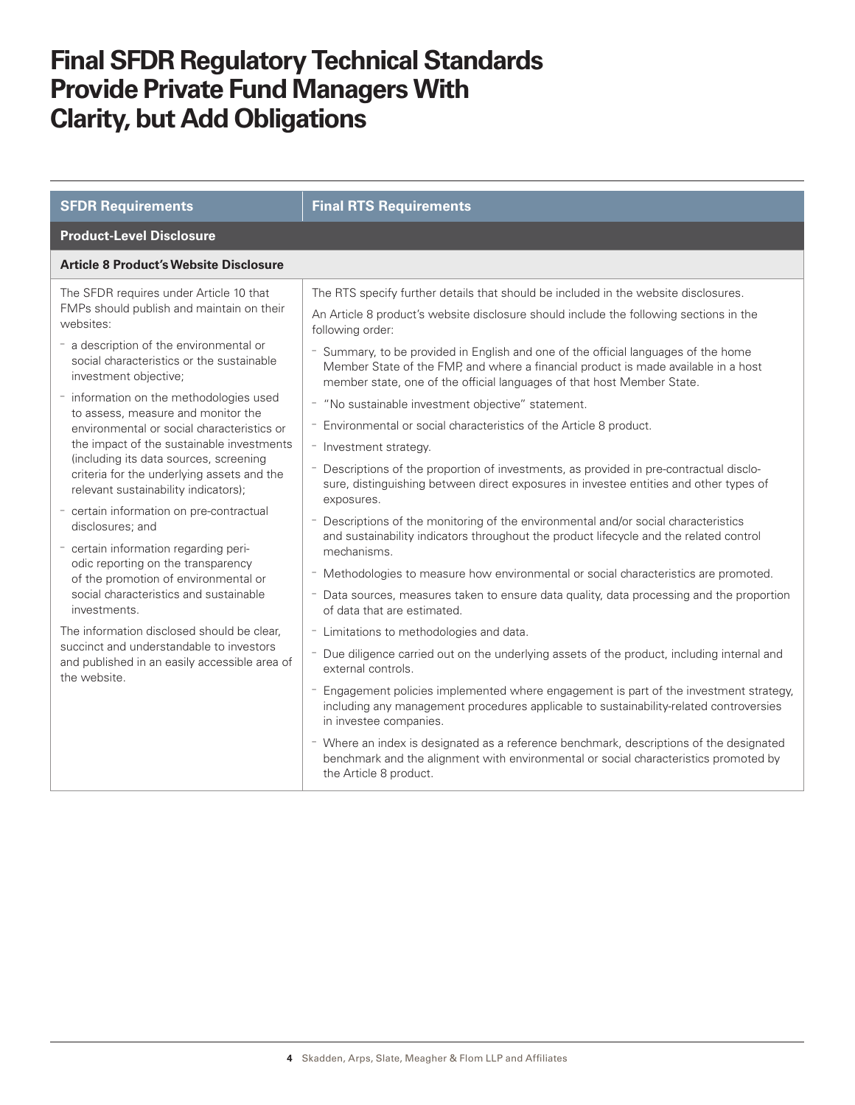| <b>SFDR Requirements</b>                                                                                                                                                                                                                                                                                                                                                                                                                                                                                                                                                                                                                                                                                                                                                                                                                                                                                                                   | <b>Final RTS Requirements</b>                                                                                                                                                                                                                                                                                                                                                                                                                                                                                                                                                                                                                                                                                                                                                                                                                                                                                                                                                                                                                                                                                                                                                                                                                                                                                                                                                                                                                                                                                                                                                                                                                                                                                                                                                                                                    |  |
|--------------------------------------------------------------------------------------------------------------------------------------------------------------------------------------------------------------------------------------------------------------------------------------------------------------------------------------------------------------------------------------------------------------------------------------------------------------------------------------------------------------------------------------------------------------------------------------------------------------------------------------------------------------------------------------------------------------------------------------------------------------------------------------------------------------------------------------------------------------------------------------------------------------------------------------------|----------------------------------------------------------------------------------------------------------------------------------------------------------------------------------------------------------------------------------------------------------------------------------------------------------------------------------------------------------------------------------------------------------------------------------------------------------------------------------------------------------------------------------------------------------------------------------------------------------------------------------------------------------------------------------------------------------------------------------------------------------------------------------------------------------------------------------------------------------------------------------------------------------------------------------------------------------------------------------------------------------------------------------------------------------------------------------------------------------------------------------------------------------------------------------------------------------------------------------------------------------------------------------------------------------------------------------------------------------------------------------------------------------------------------------------------------------------------------------------------------------------------------------------------------------------------------------------------------------------------------------------------------------------------------------------------------------------------------------------------------------------------------------------------------------------------------------|--|
| <b>Product-Level Disclosure</b>                                                                                                                                                                                                                                                                                                                                                                                                                                                                                                                                                                                                                                                                                                                                                                                                                                                                                                            |                                                                                                                                                                                                                                                                                                                                                                                                                                                                                                                                                                                                                                                                                                                                                                                                                                                                                                                                                                                                                                                                                                                                                                                                                                                                                                                                                                                                                                                                                                                                                                                                                                                                                                                                                                                                                                  |  |
| <b>Article 8 Product's Website Disclosure</b>                                                                                                                                                                                                                                                                                                                                                                                                                                                                                                                                                                                                                                                                                                                                                                                                                                                                                              |                                                                                                                                                                                                                                                                                                                                                                                                                                                                                                                                                                                                                                                                                                                                                                                                                                                                                                                                                                                                                                                                                                                                                                                                                                                                                                                                                                                                                                                                                                                                                                                                                                                                                                                                                                                                                                  |  |
| The SFDR requires under Article 10 that<br>FMPs should publish and maintain on their<br>websites:<br>- a description of the environmental or<br>social characteristics or the sustainable<br>investment objective;<br>- information on the methodologies used<br>to assess, measure and monitor the<br>environmental or social characteristics or<br>the impact of the sustainable investments<br>(including its data sources, screening<br>criteria for the underlying assets and the<br>relevant sustainability indicators);<br>- certain information on pre-contractual<br>disclosures; and<br>- certain information regarding peri-<br>odic reporting on the transparency<br>of the promotion of environmental or<br>social characteristics and sustainable<br>investments.<br>The information disclosed should be clear.<br>succinct and understandable to investors<br>and published in an easily accessible area of<br>the website. | The RTS specify further details that should be included in the website disclosures.<br>An Article 8 product's website disclosure should include the following sections in the<br>following order:<br>- Summary, to be provided in English and one of the official languages of the home<br>Member State of the FMP, and where a financial product is made available in a host<br>member state, one of the official languages of that host Member State.<br>- "No sustainable investment objective" statement.<br>- Environmental or social characteristics of the Article 8 product.<br>- Investment strategy.<br>- Descriptions of the proportion of investments, as provided in pre-contractual disclo-<br>sure, distinguishing between direct exposures in investee entities and other types of<br>exposures.<br>- Descriptions of the monitoring of the environmental and/or social characteristics<br>and sustainability indicators throughout the product lifecycle and the related control<br>mechanisms.<br>- Methodologies to measure how environmental or social characteristics are promoted.<br>- Data sources, measures taken to ensure data quality, data processing and the proportion<br>of data that are estimated.<br>- Limitations to methodologies and data.<br>- Due diligence carried out on the underlying assets of the product, including internal and<br>external controls.<br>- Engagement policies implemented where engagement is part of the investment strategy,<br>including any management procedures applicable to sustainability-related controversies<br>in investee companies.<br>- Where an index is designated as a reference benchmark, descriptions of the designated<br>benchmark and the alignment with environmental or social characteristics promoted by<br>the Article 8 product. |  |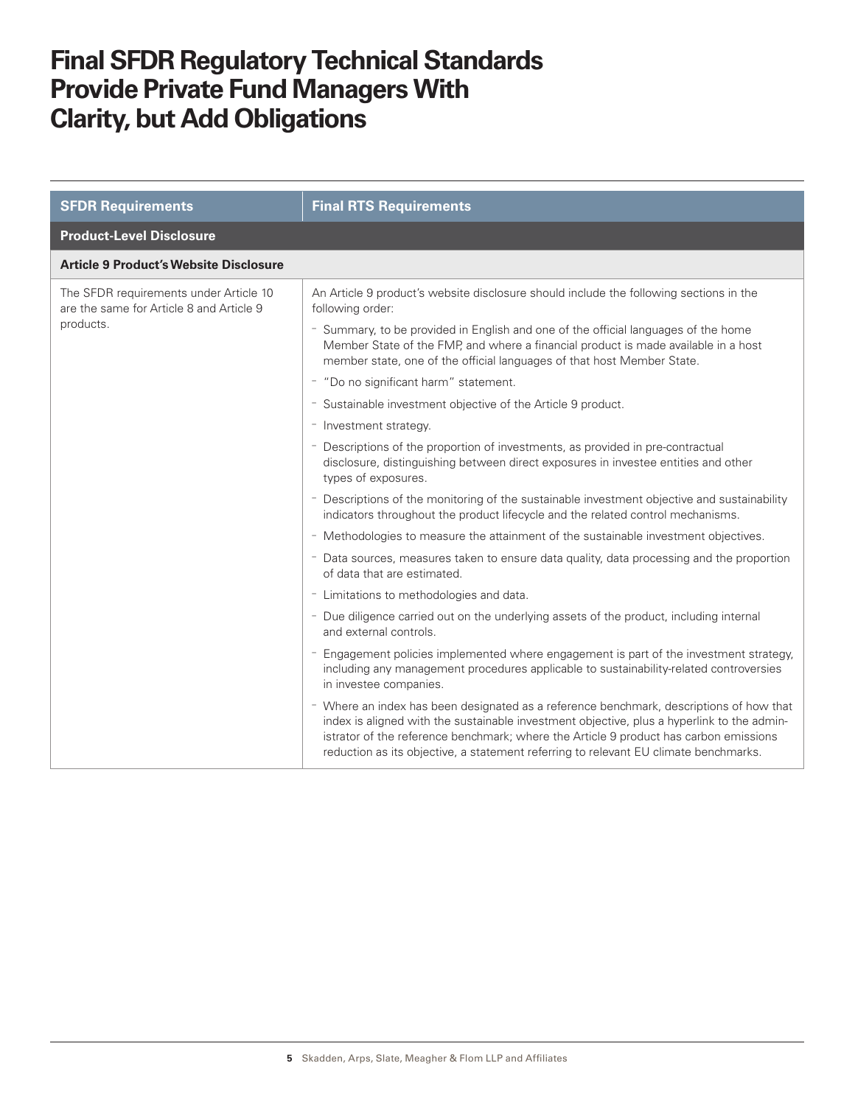| <b>SFDR Requirements</b>                                                                        | <b>Final RTS Requirements</b>                                                                                                                                                                                                                                                                                                                                          |
|-------------------------------------------------------------------------------------------------|------------------------------------------------------------------------------------------------------------------------------------------------------------------------------------------------------------------------------------------------------------------------------------------------------------------------------------------------------------------------|
| <b>Product-Level Disclosure</b>                                                                 |                                                                                                                                                                                                                                                                                                                                                                        |
| <b>Article 9 Product's Website Disclosure</b>                                                   |                                                                                                                                                                                                                                                                                                                                                                        |
| The SFDR requirements under Article 10<br>are the same for Article 8 and Article 9<br>products. | An Article 9 product's website disclosure should include the following sections in the<br>following order:                                                                                                                                                                                                                                                             |
|                                                                                                 | - Summary, to be provided in English and one of the official languages of the home<br>Member State of the FMP, and where a financial product is made available in a host<br>member state, one of the official languages of that host Member State.                                                                                                                     |
|                                                                                                 | - "Do no significant harm" statement.                                                                                                                                                                                                                                                                                                                                  |
|                                                                                                 | - Sustainable investment objective of the Article 9 product.                                                                                                                                                                                                                                                                                                           |
|                                                                                                 | - Investment strategy.                                                                                                                                                                                                                                                                                                                                                 |
|                                                                                                 | - Descriptions of the proportion of investments, as provided in pre-contractual<br>disclosure, distinguishing between direct exposures in investee entities and other<br>types of exposures.                                                                                                                                                                           |
|                                                                                                 | - Descriptions of the monitoring of the sustainable investment objective and sustainability<br>indicators throughout the product lifecycle and the related control mechanisms.                                                                                                                                                                                         |
|                                                                                                 | - Methodologies to measure the attainment of the sustainable investment objectives.                                                                                                                                                                                                                                                                                    |
|                                                                                                 | - Data sources, measures taken to ensure data quality, data processing and the proportion<br>of data that are estimated.                                                                                                                                                                                                                                               |
|                                                                                                 | - Limitations to methodologies and data.                                                                                                                                                                                                                                                                                                                               |
|                                                                                                 | - Due diligence carried out on the underlying assets of the product, including internal<br>and external controls.                                                                                                                                                                                                                                                      |
|                                                                                                 | - Engagement policies implemented where engagement is part of the investment strategy,<br>including any management procedures applicable to sustainability-related controversies<br>in investee companies.                                                                                                                                                             |
|                                                                                                 | - Where an index has been designated as a reference benchmark, descriptions of how that<br>index is aligned with the sustainable investment objective, plus a hyperlink to the admin-<br>istrator of the reference benchmark; where the Article 9 product has carbon emissions<br>reduction as its objective, a statement referring to relevant EU climate benchmarks. |